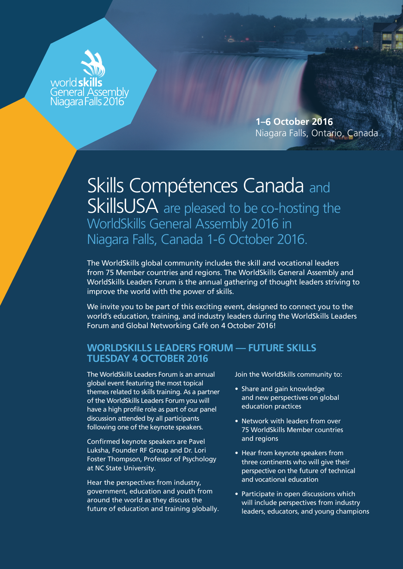

**1–**6 **October 201**6 Niagara Falls, Ontario, Canada

## Skills Compétences Canada and SkillsUSA are pleased to be co-hosting the WorldSkills General Assembly 2016 in Niagara Falls, Canada 1-6 October 2016.

The WorldSkills global community includes the skill and vocational leaders from 75 Member countries and regions. The WorldSkills General Assembly and WorldSkills Leaders Forum is the annual gathering of thought leaders striving to improve the world with the power of skills.

We invite you to be part of this exciting event, designed to connect you to the world's education, training, and industry leaders during the WorldSkills Leaders Forum and Global Networking Café on 4 October 2016!

## **WORLDSKILLS LEADERS FORUM — FUTURE SKILLS TUESDAY 4 OCTOBER 2016**

The WorldSkills Leaders Forum is an annual global event featuring the most topical themes related to skills training. As a partner of the WorldSkills Leaders Forum you will have a high profile role as part of our panel discussion attended by all participants following one of the keynote speakers.

Confirmed keynote speakers are Pavel Luksha, Founder RF Group and Dr. Lori Foster Thompson, Professor of Psychology at NC State University.

Hear the perspectives from industry, government, education and youth from around the world as they discuss the future of education and training globally. Join the WorldSkills community to:

- Share and gain knowledge and new perspectives on global education practices
- Network with leaders from over 75 WorldSkills Member countries and regions
- Hear from keynote speakers from three continents who will give their perspective on the future of technical and vocational education
- Participate in open discussions which will include perspectives from industry leaders, educators, and young champions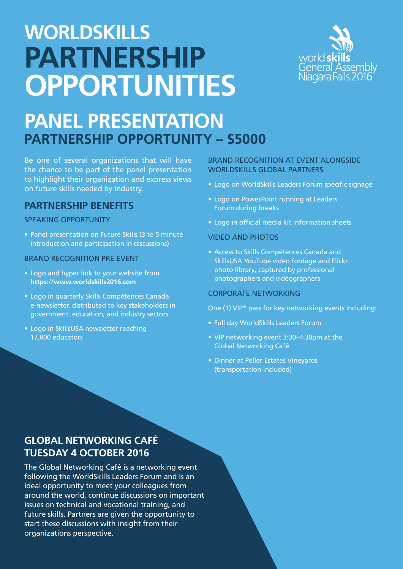# **WORLDSKILLS PARTNERSHIP OPPORTUNITIES**



# **PANEL PRESENTATION PARTNERSHIP OPPORTUNITY – \$5000**

Be one of several organizations that will have the chance to be part of the panel presentation to highlight their organization and express views on future skills needed by industry.

## **PARTNERSHIP BENEFITS**

## SPEAKING OPPORTUNITY

• Panel presentation on Future Skills (3 to 5 minute introduction and participation in discussions)

### BRAND RECOGNITION PRE-EVENT

- Logo and hyper link to your website from **https://www.worldskills2016.com**
- Logo in quarterly Skills Compétences Canada e-newsletter, distributed to key stakeholders in government, education, and industry sectors
- Logo in SkillsUSA newsletter reaching 17,000 educators

## BRAND RECOGNITION AT EVENT ALONGSIDE WORLDSKILLS GLOBAL PARTNERS

- Logo on WorldSkills Leaders Forum specific signage
- Logo on PowerPoint running at Leaders Forum during breaks
- Logo in official media kit information sheets

### VIDEO AND PHOTOS

• Access to Skills Compétences Canada and SkillsUSA YouTube video footage and Flickr photo library, captured by professional photographers and videographers

#### CORPORATE NETWORKING

One (1) VIP\* pass for key networking events including:

- Full day WorldSkills Leaders Forum
- VIP networking event 3:30–4:30pm at the Global Networking Café
- Dinner at Peller Estates Vineyards (transportation included)

## **GLOBAL NETWORKING CAFÉ TUESDAY 4 OCTOBER 2016**

The Global Networking Café is a networking event following the WorldSkills Leaders Forum and is an ideal opportunity to meet your colleagues from around the world, continue discussions on important issues on technical and vocational training, and future skills. Partners are given the opportunity to start these discussions with insight from their organizations perspective.